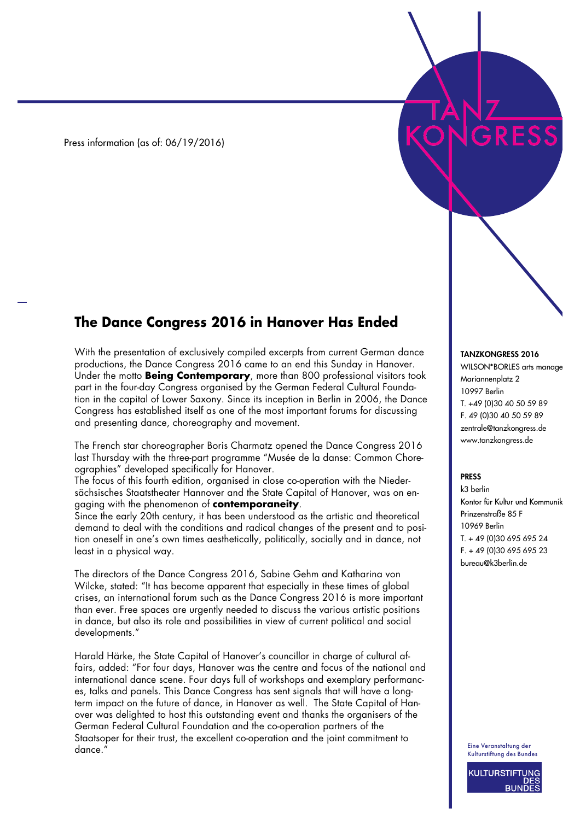Press information (as of: 06/19/2016)

## **The Dance Congress 2016 in Hanover Has Ended**

With the presentation of exclusively compiled excerpts from current German dance productions, the Dance Congress 2016 came to an end this Sunday in Hanover. Under the motto **Being Contemporary**, more than 800 professional visitors took part in the four-day Congress organised by the German Federal Cultural Foundation in the capital of Lower Saxony. Since its inception in Berlin in 2006, the Dance Congress has established itself as one of the most important forums for discussing and presenting dance, choreography and movement.

The French star choreographer Boris Charmatz opened the Dance Congress 2016 last Thursday with the three-part programme "Musée de la danse: Common Choreographies" developed specifically for Hanover.

The focus of this fourth edition, organised in close co-operation with the Niedersächsisches Staatstheater Hannover and the State Capital of Hanover, was on engaging with the phenomenon of **contemporaneity**.

Since the early 20th century, it has been understood as the artistic and theoretical demand to deal with the conditions and radical changes of the present and to position oneself in one's own times aesthetically, politically, socially and in dance, not least in a physical way.

The directors of the Dance Congress 2016, Sabine Gehm and Katharina von Wilcke, stated: "It has become apparent that especially in these times of global crises, an international forum such as the Dance Congress 2016 is more important than ever. Free spaces are urgently needed to discuss the various artistic positions in dance, but also its role and possibilities in view of current political and social developments."

Harald Härke, the State Capital of Hanover's councillor in charge of cultural affairs, added: "For four days, Hanover was the centre and focus of the national and international dance scene. Four days full of workshops and exemplary performances, talks and panels. This Dance Congress has sent signals that will have a longterm impact on the future of dance, in Hanover as well. The State Capital of Hanover was delighted to host this outstanding event and thanks the organisers of the German Federal Cultural Foundation and the co-operation partners of the Staatsoper for their trust, the excellent co-operation and the joint commitment to dance.'

## TANZKONGRESS 2016

WILSON\*BORLES arts manage Mariannenplatz 2 10997 Berlin T. +49 (0)30 40 50 59 89 F. 49 (0)30 40 50 59 89 zentrale@tanzkongress.de www.tanzkongress.de

## PRESS

k3 berlin Kontor für Kultur und Kommunik Prinzenstraße 85 F 10969 Berlin T. + 49 (0)30 695 695 24 F. + 49 (0)30 695 695 23 bureau@k3berlin.de

Eine Veranstaltung der Kulturstiftung des Bundes